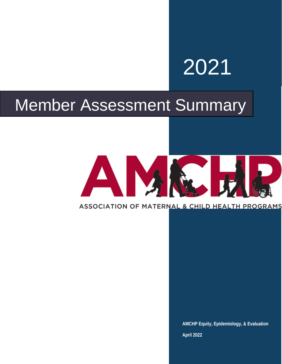# 2021

# Member Assessment Summary

# AM

### ASSOCIATION OF MATERNAL & CHILD HEALTH PROGRAMS

**AMCHP Equity, Epidemiology, & Evaluation April 2022**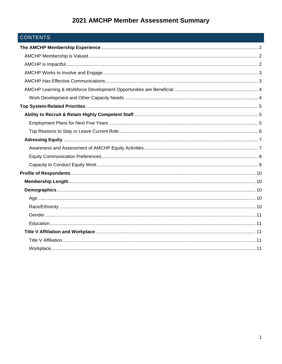# CONTENTS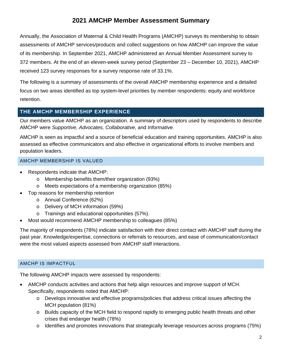Annually, the Association of Maternal & Child Health Programs (AMCHP) surveys its membership to obtain assessments of AMCHP services/products and collect suggestions on how AMCHP can improve the value of its membership. In September 2021, AMCHP administered an Annual Member Assessment survey to 372 members. At the end of an eleven-week survey period (September 23 – December 10, 2021), AMCHP received 123 survey responses for a survey response rate of 33.1%.

The following is a summary of assessments of the overall AMCHP membership experience and a detailed focus on two areas identified as top system-level priorities by member respondents: equity and workforce retention.

#### <span id="page-2-0"></span>**THE AMCHP MEMBERSHIP EXPERIENCE**

Our members value AMCHP as an organization. A summary of descriptors used by respondents to describe AMCHP were *Supportive, Advocates, Collaborative,* and *Informative.*

AMCHP is seen as impactful and a source of beneficial education and training opportunities. AMCHP is also assessed as effective communicators and also effective in organizational efforts to involve members and population leaders.

#### <span id="page-2-1"></span>AMCHP MEMBERSHIP IS VALUED

- Respondents indicate that AMCHP:
	- o Membership benefits them/their organization (93%)
	- o Meets expectations of a membership organization (85%)
- Top reasons for membership retention
	- o Annual Conference (62%)
	- o Delivery of MCH information (59%)
	- o Trainings and educational opportunities (57%).
- Most would recommend AMCHP membership to colleagues (85%)

The majority of respondents (78%) indicate satisfaction with their direct contact with AMCHP staff during the past year. Knowledge/expertise, connections or referrals to resources, and ease of communication/contact were the most valued aspects assessed from AMCHP staff interactions.

#### <span id="page-2-2"></span>AMCHP IS IMPACTFUL

The following AMCHP impacts were assessed by respondents:

- AMCHP conducts activities and actions that help align resources and improve support of MCH. Specifically, respondents noted that AMCHP:
	- o Develops innovative and effective programs/policies that address critical issues affecting the MCH population (81%)
	- o Builds capacity of the MCH field to respond rapidly to emerging public health threats and other crises that endanger health (78%)
	- o Identifies and promotes innovations that strategically leverage resources across programs (75%)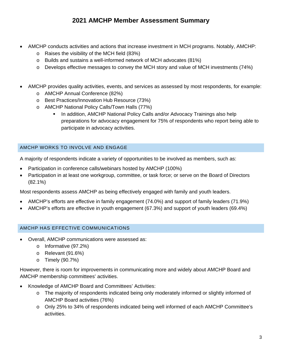- AMCHP conducts activities and actions that increase investment in MCH programs. Notably, AMCHP:
	- o Raises the visibility of the MCH field (83%)
	- o Builds and sustains a well-informed network of MCH advocates (81%)
	- o Develops effective messages to convey the MCH story and value of MCH investments (74%)
- AMCHP provides quality activities, events, and services as assessed by most respondents, for example:
	- o AMCHP Annual Conference (82%)
	- o Best Practices/Innovation Hub Resource (73%)
	- o AMCHP National Policy Calls/Town Halls (77%)
		- In addition, AMCHP National Policy Calls and/or Advocacy Trainings also help preparations for advocacy engagement for 75% of respondents who report being able to participate in advocacy activities.

#### <span id="page-3-0"></span>AMCHP WORKS TO INVOLVE AND ENGAGE

A majority of respondents indicate a variety of opportunities to be involved as members, such as:

- Participation in conference calls/webinars hosted by AMCHP (100%)
- Participation in at least one workgroup, committee, or task force; or serve on the Board of Directors (82.1%)

Most respondents assess AMCHP as being effectively engaged with family and youth leaders.

- AMCHP's efforts are effective in family engagement (74.0%) and support of family leaders (71.9%)
- AMCHP's efforts are effective in youth engagement (67.3%) and support of youth leaders (69.4%)

#### <span id="page-3-1"></span>AMCHP HAS EFFECTIVE COMMUNICATIONS

- Overall, AMCHP communications were assessed as:
	- o Informative (97.2%)
	- o Relevant (91.6%)
	- o Timely (90.7%)

However, there is room for improvements in communicating more and widely about AMCHP Board and AMCHP membership committees' activities.

- Knowledge of AMCHP Board and Committees' Activities:
	- o The majority of respondents indicated being only moderately informed or slightly informed of AMCHP Board activities (76%)
	- o Only 25% to 34% of respondents indicated being well informed of each AMCHP Committee's activities.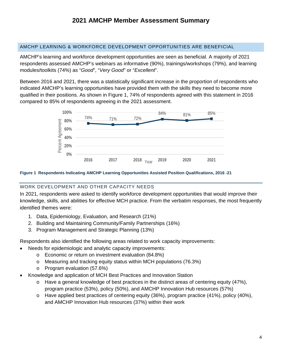#### <span id="page-4-0"></span>AMCHP LEARNING & WORKFORCE DEVELOPMENT OPPORTUNITIES ARE BENEFICIAL

AMCHP's learning and workforce development opportunities are seen as beneficial. A majority of 2021 respondents assessed AMCHP's webinars as informative (90%), trainings/workshops (79%), and learning modules/toolkits (74%) as "*Good*", "*Very Good*" or "*Excellent*".

Between 2016 and 2021, there was a statistically significant increase in the proportion of respondents who indicated AMCHP's learning opportunities have provided them with the skills they need to become more qualified in their positions. As shown in Figure 1, 74% of respondents agreed with this statement in 2016 compared to 85% of respondents agreeing in the 2021 assessment.



#### **Figure 1 Respondents Indicating AMCHP Learning Opportunities Assisted Position Qualifications, 2016 -21**

#### <span id="page-4-1"></span>WORK DEVELOPMENT AND OTHER CAPACITY NEEDS

In 2021, respondents were asked to identify workforce development opportunities that would improve their knowledge, skills, and abilities for effective MCH practice. From the verbatim responses, the most frequently identified themes were:

- 1. Data, Epidemiology, Evaluation, and Research (21%)
- 2. Building and Maintaining Community/Family Partnerships (16%)
- 3. Program Management and Strategic Planning (13%)

Respondents also identified the following areas related to work capacity improvements:

- Needs for epidemiologic and analytic capacity improvements:
	- o Economic or return on investment evaluation (84.8%)
	- o Measuring and tracking equity status within MCH populations (76.3%)
	- o Program evaluation (57.6%)
- Knowledge and application of MCH Best Practices and Innovation Station
	- $\circ$  Have a general knowledge of best practices in the distinct areas of centering equity (47%), program practice (53%), policy (50%), and AMCHP Innovation Hub resources (57%)
	- o Have applied best practices of centering equity (36%), program practice (41%), policy (40%), and AMCHP Innovation Hub resources (37%) within their work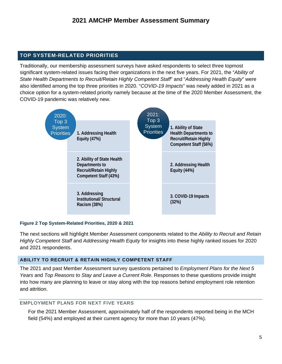#### <span id="page-5-0"></span>**TOP SYSTEM-RELATED PRIORITIES**

Traditionally, our membership assessment surveys have asked respondents to select three topmost significant system-related issues facing their organizations in the next five years. For 2021, the "*Ability of State Health Departments to Recruit/Retain Highly Competent Staff*" and "*Addressing Health Equity*" were also identified among the top three priorities in 2020. "*COVID-19 Impacts*" was newly added in 2021 as a choice option for a system-related priority namely because at the time of the 2020 Member Assessment, the COVID-19 pandemic was relatively new.



#### **Figure 2 Top System-Related Priorities, 2020 & 2021**

The next sections will highlight Member Assessment components related to the *Ability to Recruit and Retain Highly Competent Staff* and *Addressing Health Equity* for insights into these highly ranked issues for 2020 and 2021 respondents.

#### <span id="page-5-1"></span>**ABILITY TO RECRUIT & RETAIN HIGHLY COMPETENT STAFF**

The 2021 and past Member Assessment survey questions pertained to *Employment Plans for the Next 5 Years* and *Top Reasons to Stay and Leave a Current Role*. Responses to these questions provide insight into how many are planning to leave or stay along with the top reasons behind employment role retention and attrition.

#### <span id="page-5-2"></span>EMPLOYMENT PLANS FOR NEXT FIVE YEARS

For the 2021 Member Assessment, approximately half of the respondents reported being in the MCH field (54%) and employed at their current agency for more than 10 years (47%).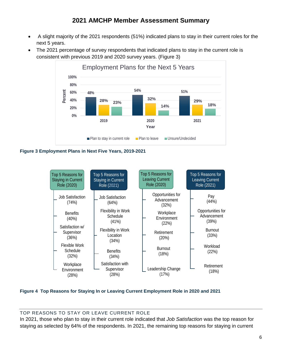- A slight majority of the 2021 respondents (51%) indicated plans to stay in their current roles for the next 5 years.
- The 2021 percentage of survey respondents that indicated plans to stay in the current role is consistent with previous 2019 and 2020 survey years. (Figure 3)



**Figure 3 Employment Plans in Next Five Years, 2019-2021**



**Figure 4 Top Reasons for Staying In or Leaving Current Employment Role in 2020 and 2021**

#### <span id="page-6-0"></span>TOP REASONS TO STAY OR LEAVE CURRENT ROLE

In 2021, those who plan to stay in their current role indicated that *Job Satisfaction* was the top reason for staying as selected by 64% of the respondents. In 2021, the remaining top reasons for staying in current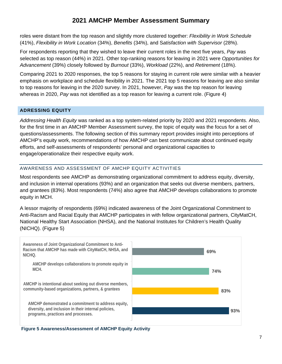roles were distant from the top reason and slightly more clustered together: *Flexibility in Work Schedule* (41%), *Flexibility in Work Location* (34%), *Benefits* (34%), and S*atisfaction with Supervisor* (28%).

For respondents reporting that they wished to leave their current roles in the next five years, *Pay* was selected as top reason (44%) in 2021. Other top-ranking reasons for leaving in 2021 were *Opportunities for Advancement* (39%) closely followed by *Burnout* (33%), *Workload* (22%), and *Retirement* (18%).

Comparing 2021 to 2020 responses, the top 5 reasons for staying in current role were similar with a heavier emphasis on workplace and schedule flexibility in 2021. The 2021 top 5 reasons for leaving are also similar to top reasons for leaving in the 2020 survey. In 2021, however, *Pay* was the top reason for leaving whereas in 2020, *Pay* was not identified as a top reason for leaving a current role. (Figure 4)

#### <span id="page-7-0"></span>**ADRESSING EQUITY**

*Addressing Health Equity* was ranked as a top system-related priority by 2020 and 2021 respondents. Also, for the first time in an AMCHP Member Assessment survey, the topic of equity was the focus for a set of questions/assessments. The following section of this summary report provides insight into perceptions of AMCHP's equity work, recommendations of how AMCHP can best communicate about continued equity efforts, and self-assessments of respondents' personal and organizational capacities to engage/operationalize their respective equity work.

#### <span id="page-7-1"></span>AWARENESS AND ASSESSMENT OF AMCHP EQUITY ACTIVITIES

Most respondents see AMCHP as demonstrating organizational commitment to address equity, diversity, and inclusion in internal operations (93%) and an organization that seeks out diverse members, partners, and grantees (83%). Most respondents (74%) also agree that AMCHP develops collaborations to promote equity in MCH.

A lessor majority of respondents (69%) indicated awareness of the Joint Organizational Commitment to Anti-Racism and Racial Equity that AMCHP participates in with fellow organizational partners, CityMatCH, National Healthy Start Association (NHSA), and the National Institutes for Children's Health Quality (NICHQ). (Figure 5)



**Figure 5 Awareness/Assessment of AMCHP Equity Activity**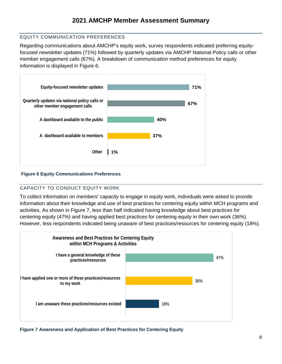#### <span id="page-8-0"></span>EQUITY COMMUNICATION PREFERENCES

Regarding communications about AMCHP's equity work, survey respondents indicated preferring equityfocused newsletter updates (71%) followed by quarterly updates via AMCHP National Policy calls or other member engagement calls (67%). A breakdown of communication method preferences for equity information is displayed in Figure 6.



#### **Figure 6 Equity Communications Preferences**

#### <span id="page-8-1"></span>CAPACITY TO CONDUCT EQUITY WORK

To collect information on members' capacity to engage in equity work, individuals were asked to provide information about their knowledge and use of best practices for centering equity within MCH programs and activities. As shown in Figure 7, less than half indicated having knowledge about best practices for centering equity (47%) and having applied best practices for centering equity in their own work (36%). However, less respondents indicated being unaware of best practices/resources for centering equity (18%).



**Figure 7 Awareness and Application of Best Practices for Centering Equity**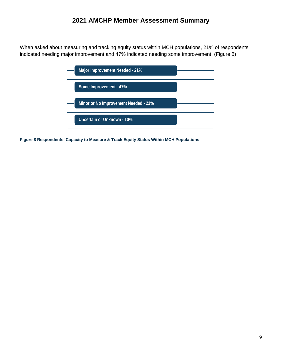When asked about measuring and tracking equity status within MCH populations, 21% of respondents indicated needing major improvement and 47% indicated needing some improvement. (Figure 8)

| Major Improvement Needed - 21%       |  |
|--------------------------------------|--|
| Some Improvement - 47%               |  |
| Minor or No Improvement Needed - 21% |  |
| Uncertain or Unknown - 10%           |  |

**Figure 8 Respondents' Capacity to Measure & Track Equity Status Within MCH Populations**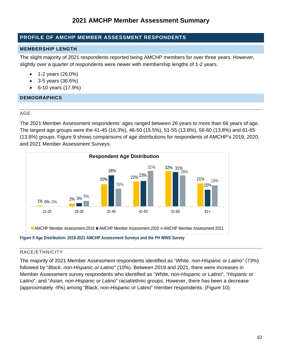#### <span id="page-10-0"></span>**PROFILE OF AMCHP MEMBER ASSESSMENT RESPONDENTS**

#### <span id="page-10-1"></span>**MEMBERSHIP LENGTH**

The slight majority of 2021 respondents reported being AMCHP members for over three years. However, slightly over a quarter of respondents were newer with membership lengths of 1-2 years.

- 1-2 years (26.0%)
- 3-5 years (36.6%)
- 6-10 years (17.9%)

#### <span id="page-10-3"></span><span id="page-10-2"></span>**DEMOGRAPHICS**

#### AGE

The 2021 Member Assessment respondents' ages ranged between 26 years to more than 66 years of age. The largest age groups were the 41-45 (16.3%), 46-50 (15.5%), 51-55 (13.8%), 56-60 (13.8%) and 61-65 (13.8%) groups. Figure 9 shows comparisons of age distributions for respondents of AMCHP's 2019, 2020, and 2021 Member Assessment Surveys.



#### <span id="page-10-4"></span>RACE/ETHNICITY

The majority of 2021 Member Assessment respondents identified as "*White, non-Hispanic or Latino*" (73%) followed by "*Black, non-Hispanic or Latino*" (10%). Between 2019 and 2021, there were increases in Member Assessment survey respondents who identified as "*White, non-Hispanic or Latino*", "*Hispanic or Latino*", and "*Asian, non-Hispanic or Latino*" racial/ethnic groups. However, there has been a decrease (approximately -9%) among "Black, non-Hispanic or Latino" member respondents. (Figure 10).